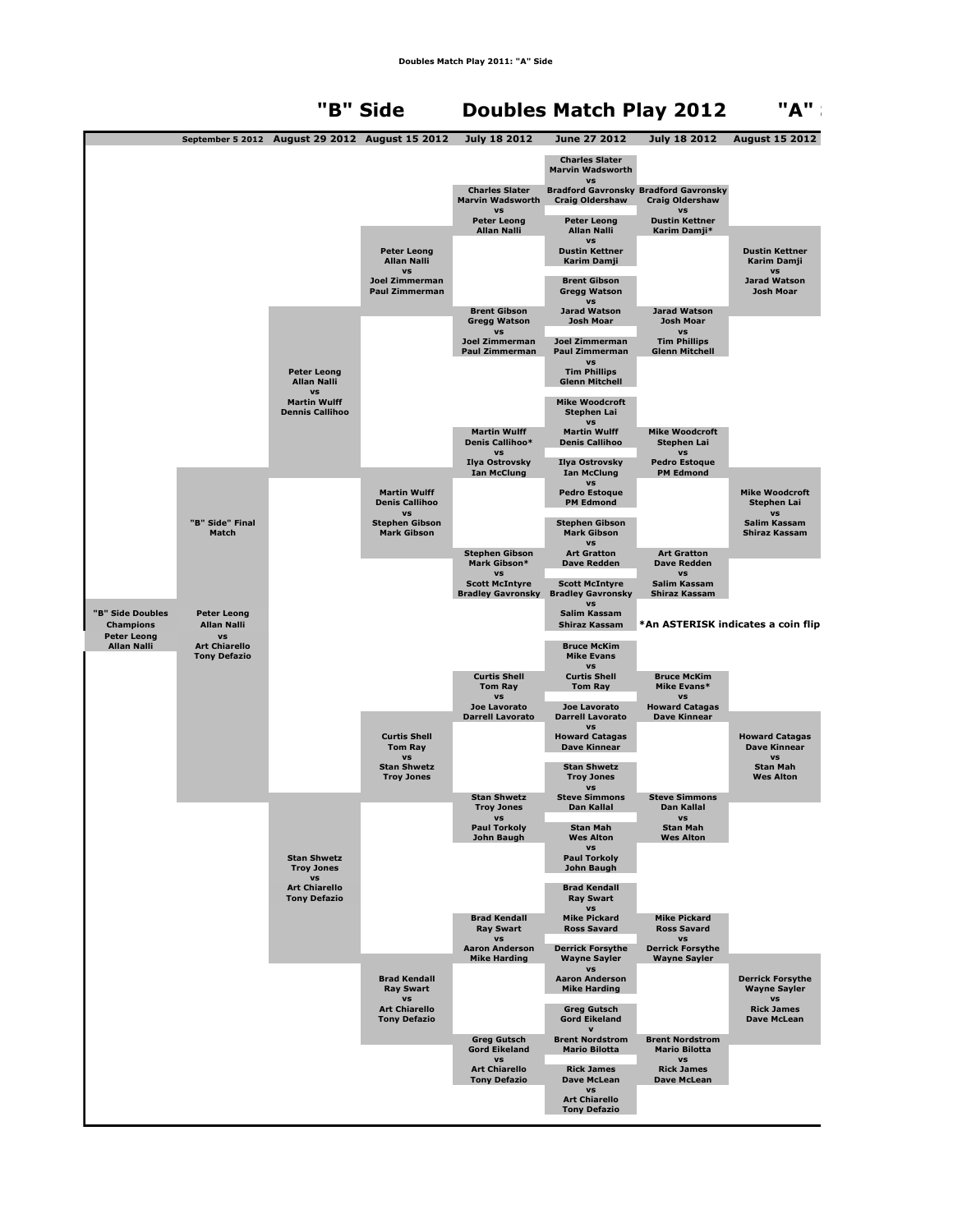